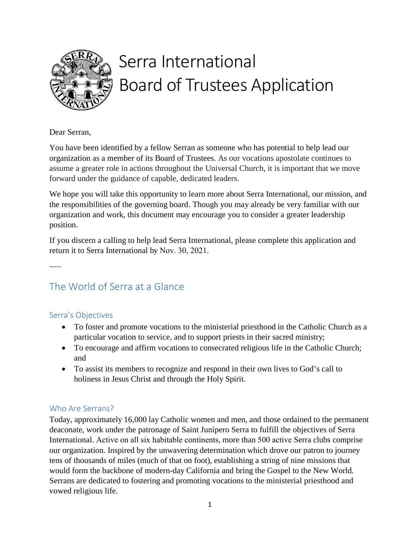

# Serra International Board of Trustees Application

Dear Serran,

You have been identified by a fellow Serran as someone who has potential to help lead our organization as a member of its Board of Trustees. As our vocations apostolate continues to assume a greater role in actions throughout the Universal Church, it is important that we move forward under the guidance of capable, dedicated leaders.

We hope you will take this opportunity to learn more about Serra International, our mission, and the responsibilities of the governing board. Though you may already be very familiar with our organization and work, this document may encourage you to consider a greater leadership position.

If you discern a calling to help lead Serra International, please complete this application and return it to Serra International by Nov. 30, 2021.

-----

## The World of Serra at a Glance

## Serra's Objectives

- To foster and promote vocations to the ministerial priesthood in the Catholic Church as a particular vocation to service, and to support priests in their sacred ministry;
- To encourage and affirm vocations to consecrated religious life in the Catholic Church; and
- To assist its members to recognize and respond in their own lives to God's call to holiness in Jesus Christ and through the Holy Spirit.

## Who Are Serrans?

Today, approximately 16,000 lay Catholic women and men, and those ordained to the permanent deaconate, work under the patronage of Saint Junípero Serra to fulfill the objectives of Serra International. Active on all six habitable continents, more than 500 active Serra clubs comprise our organization. Inspired by the unwavering determination which drove our patron to journey tens of thousands of miles (much of that on foot), establishing a string of nine missions that would form the backbone of modern-day California and bring the Gospel to the New World. Serrans are dedicated to fostering and promoting vocations to the ministerial priesthood and vowed religious life.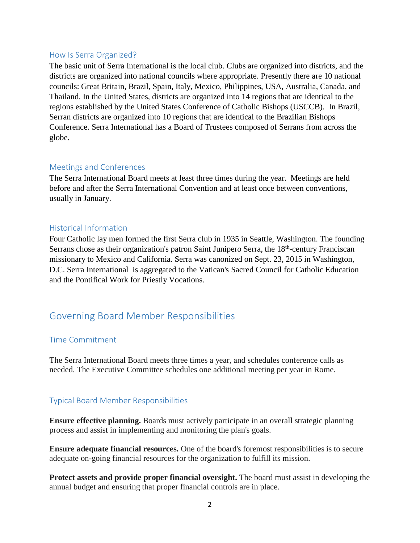#### How Is Serra Organized?

The basic unit of Serra International is the local club. Clubs are organized into districts, and the districts are organized into national councils where appropriate. Presently there are 10 national councils: Great Britain, Brazil, Spain, Italy, Mexico, Philippines, USA, Australia, Canada, and Thailand. In the United States, districts are organized into 14 regions that are identical to the regions established by the United States Conference of Catholic Bishops (USCCB). In Brazil, Serran districts are organized into 10 regions that are identical to the Brazilian Bishops Conference. Serra International has a Board of Trustees composed of Serrans from across the globe.

#### Meetings and Conferences

The Serra International Board meets at least three times during the year. Meetings are held before and after the Serra International Convention and at least once between conventions, usually in January.

#### Historical Information

Four Catholic lay men formed the first Serra club in 1935 in Seattle, Washington. The founding Serrans chose as their organization's patron Saint Junípero Serra, the 18<sup>th</sup>-century Franciscan missionary to Mexico and California. Serra was canonized on Sept. 23, 2015 in Washington, D.C. Serra International is aggregated to the Vatican's Sacred Council for Catholic Education and the Pontifical Work for Priestly Vocations.

## Governing Board Member Responsibilities

#### Time Commitment

The Serra International Board meets three times a year, and schedules conference calls as needed. The Executive Committee schedules one additional meeting per year in Rome.

#### Typical Board Member Responsibilities

**Ensure effective planning.** Boards must actively participate in an overall strategic planning process and assist in implementing and monitoring the plan's goals.

**Ensure adequate financial resources.** One of the board's foremost responsibilities is to secure adequate on-going financial resources for the organization to fulfill its mission.

**Protect assets and provide proper financial oversight.** The board must assist in developing the annual budget and ensuring that proper financial controls are in place.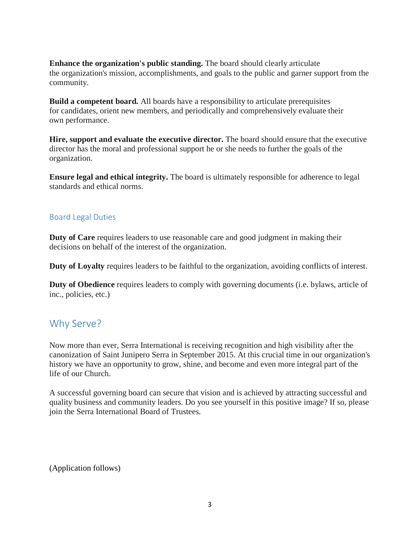**Enhance the organization's public standing.** The board should clearly articulate the organization's mission, accomplishments, and goals to the public and garner support from the community.

**Build a competent board.** All boards have a responsibility to articulate prerequisites for candidates, orient new members, and periodically and comprehensively evaluate their own performance.

**Hire, support and evaluate the executive director.** The board should ensure that the executive director has the moral and professional support he or she needs to further the goals of the organization.

**Ensure legal and ethical integrity.** The board is ultimately responsible for adherence to legal standards and ethical norms.

#### Board Legal Duties

**Duty of Care** requires leaders to use reasonable care and good judgment in making their decisions on behalf of the interest of the organization.

**Duty of Loyalty** requires leaders to be faithful to the organization, avoiding conflicts of interest.

**Duty of Obedience** requires leaders to comply with governing documents (i.e. bylaws, article of inc., policies, etc.)

## Why Serve?

Now more than ever, Serra International is receiving recognition and high visibility after the canonization of Saint Junipero Serra in September 2015. At this crucial time in our organization's history we have an opportunity to grow, shine, and become and even more integral part of the life of our Church.

A successful governing board can secure that vision and is achieved by attracting successful and quality business and community leaders. Do you see yourself in this positive image? If so, please join the Serra International Board of Trustees.

(Application follows)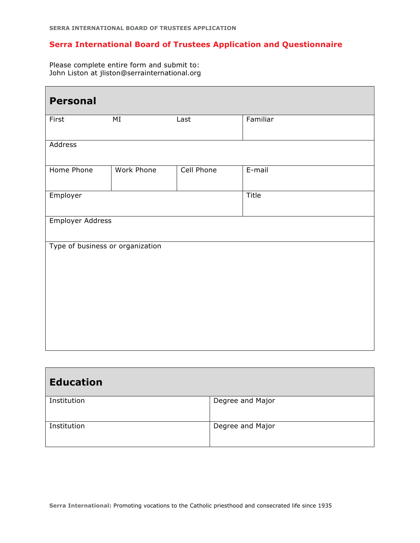### **Serra International Board of Trustees Application and Questionnaire**

Please complete entire form and submit to: John Liston at jliston@serrainternational.org

| <b>Personal</b>                  |                   |                   |           |  |  |
|----------------------------------|-------------------|-------------------|-----------|--|--|
| First                            | MI                | Last              | Familiar  |  |  |
| Address                          |                   |                   |           |  |  |
| Home Phone                       | <b>Work Phone</b> | <b>Cell Phone</b> | $E$ -mail |  |  |
| Employer                         |                   |                   | Title     |  |  |
| Employer Address                 |                   |                   |           |  |  |
| Type of business or organization |                   |                   |           |  |  |

| <b>Education</b> |                  |  |  |  |
|------------------|------------------|--|--|--|
| Institution      | Degree and Major |  |  |  |
| Institution      | Degree and Major |  |  |  |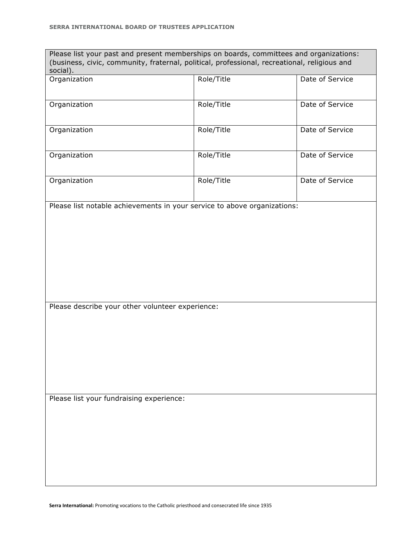| Please list your past and present memberships on boards, committees and organizations:<br>(business, civic, community, fraternal, political, professional, recreational, religious and |            |                 |  |  |
|----------------------------------------------------------------------------------------------------------------------------------------------------------------------------------------|------------|-----------------|--|--|
| social).                                                                                                                                                                               | Role/Title | Date of Service |  |  |
| Organization                                                                                                                                                                           |            |                 |  |  |
|                                                                                                                                                                                        |            |                 |  |  |
| Organization                                                                                                                                                                           | Role/Title | Date of Service |  |  |
|                                                                                                                                                                                        |            |                 |  |  |
| Organization                                                                                                                                                                           | Role/Title | Date of Service |  |  |
|                                                                                                                                                                                        |            |                 |  |  |
|                                                                                                                                                                                        |            |                 |  |  |
| Organization                                                                                                                                                                           | Role/Title | Date of Service |  |  |
|                                                                                                                                                                                        |            |                 |  |  |
| Organization                                                                                                                                                                           | Role/Title | Date of Service |  |  |
|                                                                                                                                                                                        |            |                 |  |  |
| Please list notable achievements in your service to above organizations:                                                                                                               |            |                 |  |  |
|                                                                                                                                                                                        |            |                 |  |  |
|                                                                                                                                                                                        |            |                 |  |  |
|                                                                                                                                                                                        |            |                 |  |  |
|                                                                                                                                                                                        |            |                 |  |  |
|                                                                                                                                                                                        |            |                 |  |  |
|                                                                                                                                                                                        |            |                 |  |  |
|                                                                                                                                                                                        |            |                 |  |  |
|                                                                                                                                                                                        |            |                 |  |  |
|                                                                                                                                                                                        |            |                 |  |  |
| Please describe your other volunteer experience:                                                                                                                                       |            |                 |  |  |
|                                                                                                                                                                                        |            |                 |  |  |
|                                                                                                                                                                                        |            |                 |  |  |
|                                                                                                                                                                                        |            |                 |  |  |
|                                                                                                                                                                                        |            |                 |  |  |
|                                                                                                                                                                                        |            |                 |  |  |
|                                                                                                                                                                                        |            |                 |  |  |
|                                                                                                                                                                                        |            |                 |  |  |
|                                                                                                                                                                                        |            |                 |  |  |
| Please list your fundraising experience:                                                                                                                                               |            |                 |  |  |
|                                                                                                                                                                                        |            |                 |  |  |
|                                                                                                                                                                                        |            |                 |  |  |
|                                                                                                                                                                                        |            |                 |  |  |
|                                                                                                                                                                                        |            |                 |  |  |
|                                                                                                                                                                                        |            |                 |  |  |
|                                                                                                                                                                                        |            |                 |  |  |
|                                                                                                                                                                                        |            |                 |  |  |
|                                                                                                                                                                                        |            |                 |  |  |

**Serra International:** Promoting vocations to the Catholic priesthood and consecrated life since 1935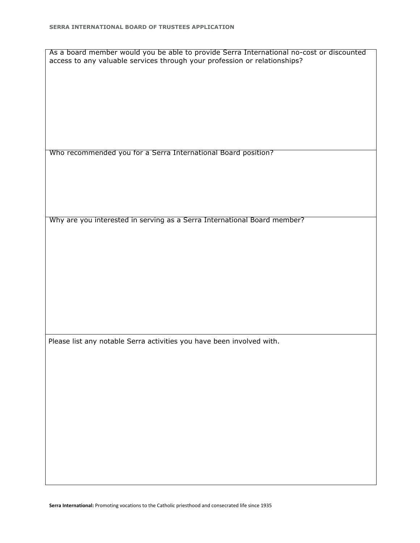As a board member would you be able to provide Serra International no-cost or discounted access to any valuable services through your profession or relationships?

Who recommended you for a Serra International Board position?

Why are you interested in serving as a Serra International Board member?

Please list any notable Serra activities you have been involved with.

**Serra International:** Promoting vocations to the Catholic priesthood and consecrated life since 1935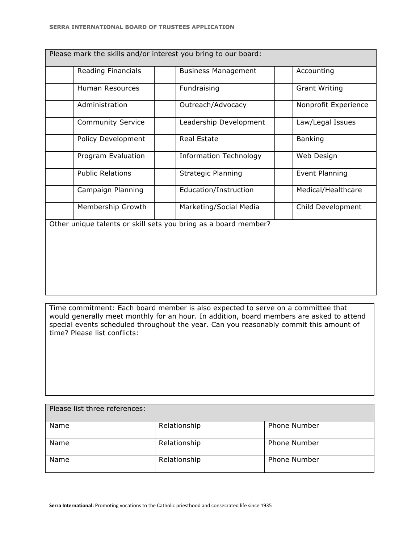| Please mark the skills and/or interest you bring to our board:  |                               |                      |  |  |
|-----------------------------------------------------------------|-------------------------------|----------------------|--|--|
| Reading Financials                                              | <b>Business Management</b>    | Accounting           |  |  |
| Human Resources                                                 | Fundraising                   | <b>Grant Writing</b> |  |  |
| Administration                                                  | Outreach/Advocacy             | Nonprofit Experience |  |  |
| <b>Community Service</b>                                        | Leadership Development        | Law/Legal Issues     |  |  |
| Policy Development                                              | Real Estate                   | <b>Banking</b>       |  |  |
| Program Evaluation                                              | <b>Information Technology</b> | Web Design           |  |  |
| <b>Public Relations</b>                                         | <b>Strategic Planning</b>     | Event Planning       |  |  |
| Campaign Planning                                               | Education/Instruction         | Medical/Healthcare   |  |  |
| Membership Growth                                               | Marketing/Social Media        | Child Development    |  |  |
| Other unique talents or skill sets you bring as a board member? |                               |                      |  |  |

Time commitment: Each board member is also expected to serve on a committee that would generally meet monthly for an hour. In addition, board members are asked to attend special events scheduled throughout the year. Can you reasonably commit this amount of time? Please list conflicts:

| Please list three references: |              |                     |  |  |
|-------------------------------|--------------|---------------------|--|--|
| Name                          | Relationship | <b>Phone Number</b> |  |  |
| Name                          | Relationship | <b>Phone Number</b> |  |  |
| Name                          | Relationship | <b>Phone Number</b> |  |  |